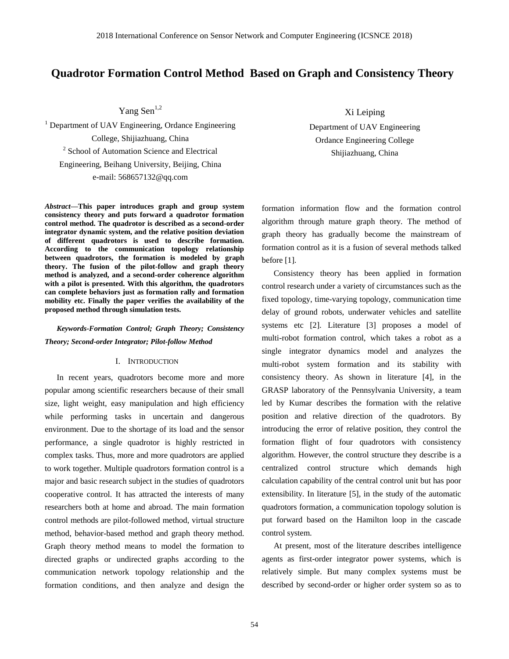# **Quadrotor Formation Control Method Based on Graph and Consistency Theory**

Yang Sen<sup>1,2</sup>

<sup>1</sup> Department of UAV Engineering, Ordance Engineering College, Shijiazhuang, China <sup>2</sup> School of Automation Science and Electrical Engineering, Beihang University, Beijing, China e-mail: 568657132@qq.com

*Abstract—***This paper introduces graph and group system consistency theory and puts forward a quadrotor formation control method. The quadrotor is described as a second-order integrator dynamic system, and the relative position deviation of different quadrotors is used to describe formation. According to the communication topology relationship between quadrotors, the formation is modeled by graph theory. The fusion of the pilot-follow and graph theory method is analyzed, and a second-order coherence algorithm with a pilot is presented. With this algorithm, the quadrotors can complete behaviors just as formation rally and formation mobility etc. Finally the paper verifies the availability of the proposed method through simulation tests.**

## *Keywords-Formation Control; Graph Theory; Consistency Theory; Second-order Integrator; Pilot-follow Method*

### I. INTRODUCTION

In recent years, quadrotors become more and more popular among scientific researchers because of their small size, light weight, easy manipulation and high efficiency while performing tasks in uncertain and dangerous environment. Due to the shortage of its load and the sensor performance, a single quadrotor is highly restricted in complex tasks. Thus, more and more quadrotors are applied to work together. Multiple quadrotors formation control is a major and basic research subject in the studies of quadrotors cooperative control. It has attracted the interests of many researchers both at home and abroad. The main formation control methods are pilot-followed method, virtual structure method, behavior-based method and graph theory method. Graph theory method means to model the formation to directed graphs or undirected graphs according to the communication network topology relationship and the formation conditions, and then analyze and design the

Xi Leiping

Department of UAV Engineering Ordance Engineering College Shijiazhuang, China

formation information flow and the formation control algorithm through mature graph theory. The method of graph theory has gradually become the mainstream of formation control as it is a fusion of several methods talked before [1].

Consistency theory has been applied in formation control research under a variety of circumstances such as the fixed topology, time-varying topology, communication time delay of ground robots, underwater vehicles and satellite systems etc [2]. Literature [3] proposes a model of multi-robot formation control, which takes a robot as a single integrator dynamics model and analyzes the multi-robot system formation and its stability with consistency theory. As shown in literature [4], in the GRASP laboratory of the Pennsylvania University, a team led by Kumar describes the formation with the relative position and relative direction of the quadrotors. By introducing the error of relative position, they control the formation flight of four quadrotors with consistency algorithm. However, the control structure they describe is a centralized control structure which demands high calculation capability of the central control unit but has poor extensibility. In literature [5], in the study of the automatic quadrotors formation, a communication topology solution is put forward based on the Hamilton loop in the cascade control system.

At present, most of the literature describes intelligence agents as first-order integrator power systems, which is relatively simple. But many complex systems must be described by second-order or higher order system so as to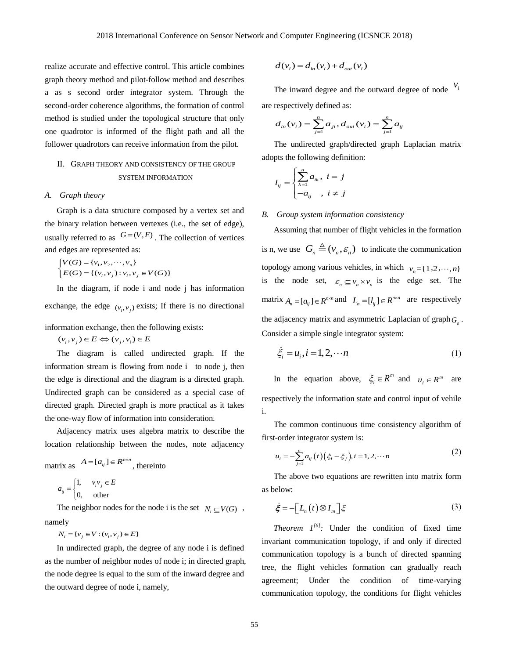realize accurate and effective control. This article combines graph theory method and pilot-follow method and describes a as s second order integrator system. Through the second-order coherence algorithms, the formation of control method is studied under the topological structure that only one quadrotor is informed of the flight path and all the follower quadrotors can receive information from the pilot.

# II. GRAPH THEORY AND CONSISTENCY OF THE GROUP SYSTEM INFORMATION

#### *A. Graph theory*

Graph is a data structure composed by a vertex set and the binary relation between vertexes (i.e., the set of edge), usually referred to as  $G = (V, E)$ . The collection of vertices and edges are represented as:

$$
\begin{cases}\nV(G) = \{v_1, v_2, \dots, v_n\} \\
E(G) = \{(v_i, v_j) : v_i, v_j \in V(G)\}\n\end{cases}
$$

In the diagram, if node i and node j has information exchange, the edge  $(v_i, v_j)$  exists; If there is no directional information exchange, then the following exists:

 $(v_i, v_j) \in E \Leftrightarrow (v_i, v_i) \in E$ 

The diagram is called undirected graph. If the information stream is flowing from node i to node j, then the edge is directional and the diagram is a directed graph. Undirected graph can be considered as a special case of directed graph. Directed graph is more practical as it takes the one-way flow of information into consideration.

Adjacency matrix uses algebra matrix to describe the location relationship between the nodes, note adjacency

matrix as  $A = [a_{ij}] \in R^{n \times n}$ , thereinto

$$
a_{ij} = \begin{cases} 1, & v_i v_j \in E \\ 0, & \text{other} \end{cases}
$$

The neighbor nodes for the node i is the set  $N_i \subseteq V(G)$ , namely

 $N_i = \{v_j \in V : (v_i, v_j) \in E\}$ 

In undirected graph, the degree of any node i is defined as the number of neighbor nodes of node i; in directed graph, the node degree is equal to the sum of the inward degree and the outward degree of node i, namely,

$$
d(v_i) = d_{in}(v_i) + d_{out}(v_i)
$$

The inward degree and the outward degree of node  $V_i$ 

are respectively defined as:  
\n
$$
d_{in}(v_i) = \sum_{j=1}^{n} a_{ji}, d_{out}(v_i) = \sum_{j=1}^{n} a_{ij}
$$

The undirected graph/directed graph Laplacian matrix adopts the following definition:

$$
l_{ij} = \begin{cases} \sum_{k=1}^{n} a_{ik}, & i = j \\ -a_{ij} , & i \neq j \end{cases}
$$

### *B. Group system information consistency*

Assuming that number of flight vehicles in the formation is n, we use  $G_n \triangleq (v_n, \varepsilon_n)$  to indicate the communication topology among various vehicles, in which  $v_n = \{1, 2, \dots, n\}$ is the node set,  $\varepsilon_n \subseteq v_n \times v_n$  is the edge set. The matrix  $A_n = [a_{ij}] \in R^{n \times n}$  and  $L_n = [l_{ij}] \in R^{n \times n}$  are respectively the adjacency matrix and asymmetric Laplacian of graph *Gn* . Consider a simple single integrator system:

$$
\dot{\xi}_i = u_i, i = 1, 2, \cdots n \tag{1}
$$

In the equation above,  $\zeta_i \in R^m$  and  $u_i \in R^m$  are respectively the information state and control input of vehile i.

The common continuous time consistency algorithm of first-order integrator system is:

$$
u_i = -\sum_{j=1}^n a_{ij}(t) (\xi_i - \xi_j), i = 1, 2, \cdots n
$$
 (2)

The above two equations are rewritten into matrix form as below:

$$
\dot{\boldsymbol{\xi}} = -\Big[L_n(t)\otimes I_m\Big]\boldsymbol{\xi} \tag{3}
$$

*Theorem*  $I^{[6]}$ : Under the condition of fixed time invariant communication topology, if and only if directed communication topology is a bunch of directed spanning tree, the flight vehicles formation can gradually reach agreement; Under the condition of time-varying communication topology, the conditions for flight vehicles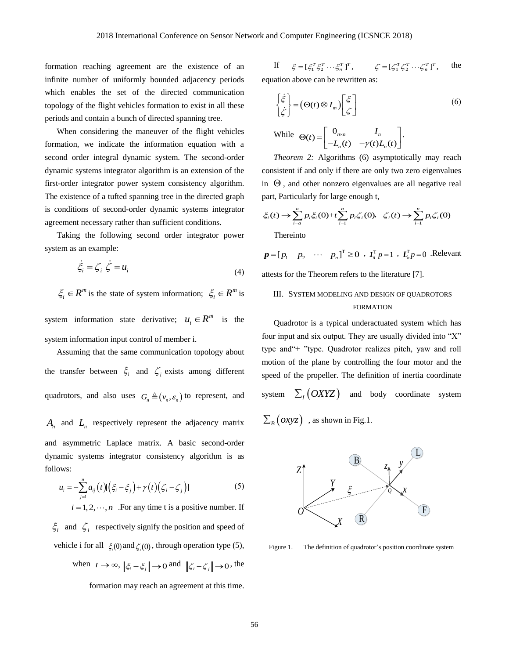formation reaching agreement are the existence of an infinite number of uniformly bounded adjacency periods which enables the set of the directed communication topology of the flight vehicles formation to exist in all these periods and contain a bunch of directed spanning tree.

When considering the maneuver of the flight vehicles formation, we indicate the information equation with a second order integral dynamic system. The second-order dynamic systems integrator algorithm is an extension of the first-order integrator power system consistency algorithm. The existence of a tufted spanning tree in the directed graph is conditions of second-order dynamic systems integrator agreement necessary rather than sufficient conditions.

Taking the following second order integrator power system as an example:

$$
\dot{\xi}_i = \zeta_i \dot{\zeta} = u_i \tag{4}
$$

 $\zeta_i \in R^m$  is the state of system information;  $\zeta_i \in R^m$  is

system information state derivative;  $u_i \in R^m$  is the system information input control of member i.

Assuming that the same communication topology about the transfer between  $\xi_i$  and  $\zeta_i$  exists among different quadrotors, and also uses  $G_n \triangleq (v_n, \varepsilon_n)$  to represent, and

 $A_n$  and  $L_n$  respectively represent the adjacency matrix and asymmetric Laplace matrix. A basic second-order dynamic systems integrator consistency algorithm is as follows:

$$
u_{i} = -\sum_{j=1}^{n} a_{ij} (t) [(\xi_{i} - \xi_{j}) + \gamma(t) (\zeta_{i} - \zeta_{j})]
$$
 (5)

 $i = 1, 2, \dots, n$  . For any time t is a positive number. If  $\xi$ <sup>*i*</sup> and  $\zeta$ <sup>*i*</sup> respectively signify the position and speed of vehicle i for all  $\xi_i(0)$  and  $\zeta_i(0)$ , through operation type (5), when  $t \to \infty$ ,  $\left\| \xi_i - \xi_j \right\| \to 0$  and  $\left\| \xi_i - \xi_j \right\| \to 0$ , the formation may reach an agreement at this time.

If  $\xi = [\xi_1^T \xi_2^T \cdots \xi_n^T]^T$ ,  $\zeta = [\zeta_1^T \zeta_2^T \cdots \zeta_n^T]^T$ , the equation above can be rewritten as

$$
\begin{cases} \dot{\xi} \\ \dot{\zeta} \end{cases} = (\Theta(t) \otimes I_m) \begin{bmatrix} \xi \\ \zeta \end{bmatrix}
$$
 (6)

While 
$$
\Theta(t) = \begin{bmatrix} 0_{n \times n} & I_n \\ -L_n(t) & -\gamma(t)L_n(t) \end{bmatrix}
$$
.

*Theorem 2:* Algorithms (6) asymptotically may reach consistent if and only if there are only two zero eigenvalues in  $\Theta$ , and other nonzero eigenvalues are all negative real<br>part, Particularly for large enough t,<br> $\xi_i(t) \rightarrow \sum_{i=a}^{n} p_i \xi_i(0) + t \sum_{i=1}^{n} p_i \zeta_i(0), \quad \zeta_i(t) \rightarrow \sum_{i=1}^{n} p_i \zeta_i(0)$ 

part, Particularly for large enough t,  
\n
$$
\xi_i(t) \to \sum_{i=a}^{n} p_i \xi_i(0) + t \sum_{i=1}^{n} p_i \zeta_i(0), \quad \zeta_i(t) \to \sum_{i=1}^{n} p_i \zeta_i(0)
$$

Thereinto

 $\mathbf{p} = [p_1 \quad p_2 \quad \cdots \quad p_n]^\text{T} \ge 0 \quad \text{if} \quad \mathbf{I}_n^\text{T} p = 1 \quad \text{if} \quad \mathbf{I}_n^\text{T} p = 0 \quad \text{Relevant}$ 

attests for the Theorem refers to the literature [7].

# III. SYSTEM MODELING AND DESIGN OF QUADROTORS FORMATION

Quadrotor is a typical underactuated system which has four input and six output. They are usually divided into "X" type and"+ "type. Quadrotor realizes pitch, yaw and roll motion of the plane by controlling the four motor and the speed of the propeller. The definition of inertia coordinate system  $\sum_{I} (OXYZ)$  and body coordinate system  $\sum_{B}\left( \textit{oxyz}\right) \text{ }$  , as shown in Fig.1.



Figure 1. The definition of quadrotor's position coordinate system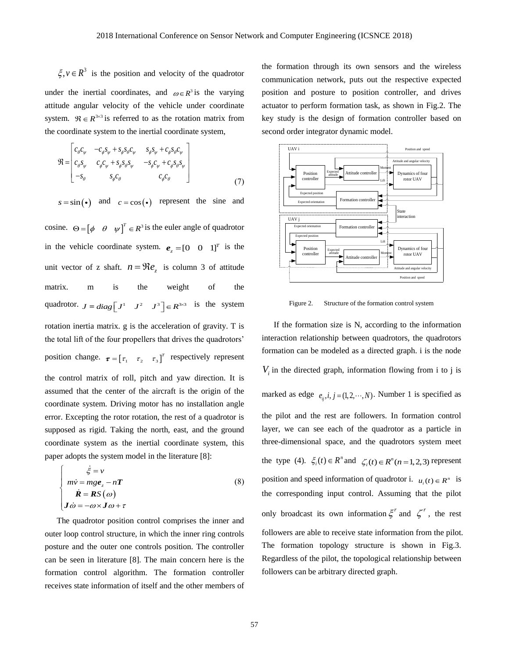$\xi, v \in \mathbb{R}^3$  is the position and velocity of the quadrotor under the inertial coordinates, and  $\omega \in R^3$  is the varying attitude angular velocity of the vehicle under coordinate system.  $\mathfrak{R} \in \mathbb{R}^{3 \times 3}$  is referred to as the rotation matrix from

the coordinate system to the inertial coordinate system,  
\n
$$
\mathfrak{R} = \begin{bmatrix} c_{\theta}c_{\psi} & -c_{\phi}s_{\psi} + s_{\phi}s_{\theta}c_{\psi} & s_{\phi}s_{\psi} + c_{\phi}s_{\theta}c_{\psi} \\ c_{\theta}s_{\psi} & c_{\phi}c_{\psi} + s_{\phi}s_{\theta}s_{\psi} & -s_{\phi}c_{\psi} + c_{\phi}s_{\theta}s_{\psi} \\ -s_{\theta} & s_{\phi}c_{\theta} & c_{\phi}c_{\theta} \end{bmatrix}
$$
\n(7)

 $s = \sin(\bullet)$  and  $c = \cos(\bullet)$  represent the sine and

<sup>3</sup> is the position and velocity of the quadrotor<br>inertial coordinates, and  $\omega \in R^3$  is the varying<br>gular velocity of the vehicle under coordinate<br>glar velocity of the velocite under coordinate<br>glar velocity of the veloc cosine.  $\Theta = [\phi \quad \theta \quad \psi]^T \in R^3$  is the euler angle of quadrotor in the vehicle coordinate system.  $e_z = [0 \ 0 \ 1]^T$  is the unit vector of z shaft.  $n = \Re e_z$  is column 3 of attitude matrix. m is the weight of the quadrotor.  $J = diag\begin{bmatrix} J^1 & J^2 & J^3 \end{bmatrix} \in R^{3\times 3}$  is the system rotation inertia matrix. g is the acceleration of gravity. T is the total lift of the four propellers that drives the quadrotors' position change.  $\boldsymbol{\tau} = \begin{bmatrix} \tau_1 & \tau_2 & \tau_3 \end{bmatrix}^T$  respectively represent the control matrix of roll, pitch and yaw direction. It is assumed that the center of the aircraft is the origin of the coordinate system. Driving motor has no installation angle error. Excepting the rotor rotation, the rest of a quadrotor is supposed as rigid. Taking the north, east, and the ground coordinate system as the inertial coordinate system, this paper adopts the system model in the literature [8]:

$$
\begin{cases}\n\dot{\xi} = v \\
m\dot{v} = mg\boldsymbol{e}_z - n\boldsymbol{T} \\
\dot{\boldsymbol{R}} = \boldsymbol{R}S(\omega) \\
J\dot{\omega} = -\omega \times \boldsymbol{J}\omega + \tau\n\end{cases}
$$
\n(8)

The quadrotor position control comprises the inner and outer loop control structure, in which the inner ring controls posture and the outer one controls position. The controller can be seen in literature [8]. The main concern here is the formation control algorithm. The formation controller receives state information of itself and the other members of

the formation through its own sensors and the wireless communication network, puts out the respective expected position and posture to position controller, and drives actuator to perform formation task, as shown in Fig.2. The key study is the design of formation controller based on second order integrator dynamic model.



Figure 2. Structure of the formation control system

If the formation size is N, according to the information interaction relationship between quadrotors, the quadrotors formation can be modeled as a directed graph. i is the node  $V_i$  in the directed graph, information flowing from i to j is marked as edge  $e_{ij}$ ,  $i, j = (1, 2, \dots, N)$ . Number 1 is specified as the pilot and the rest are followers. In formation control layer, we can see each of the quadrotor as a particle in three-dimensional space, and the quadrotors system meet the type (4).  $\xi_i(t) \in R^n$  and  $\zeta_i(t) \in R^n (n = 1, 2, 3)$  represent position and speed information of quadrotor i.  $u_i(t) \in R^n$  is the corresponding input control. Assuming that the pilot only broadcast its own information  $\xi^r$  and  $\zeta^r$ , the rest followers are able to receive state information from the pilot. The formation topology structure is shown in Fig.3. Regardless of the pilot, the topological relationship between followers can be arbitrary directed graph.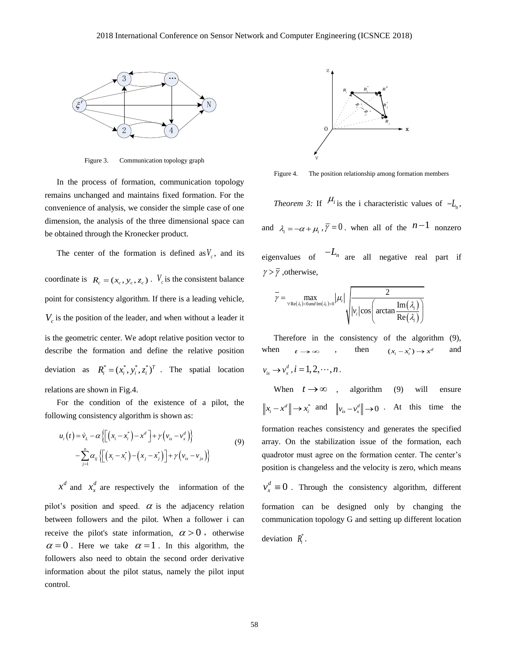

Figure 3. Communication topology graph

In the process of formation, communication topology remains unchanged and maintains fixed formation. For the convenience of analysis, we consider the simple case of one dimension, the analysis of the three dimensional space can be obtained through the Kronecker product.

The center of the formation is defined as  $V_c$ , and its

coordinate is  $R_c = (x_c, y_c, z_c)$ .  $V_c$  is the consistent balance point for consistency algorithm. If there is a leading vehicle,  $V_c$  is the position of the leader, and when without a leader it is the geometric center. We adopt relative position vector to describe the formation and define the relative position deviation as  $R_i^* = (x_i^*, y_i^*, z_i^*)^T$ . The spatial location relations are shown in Fig.4.

For the condition of the existence of a pilot, the following consistency algorithm is shown as:

$$
u_i(t) = \dot{v}_L - \alpha \left\{ \left[ \left( x_i - x_i^* \right) - x^d \right] + \gamma \left( v_{ix} - v_x^* \right) \right\}
$$
  

$$
- \sum_{j=1}^n \alpha_{ij} \left\{ \left[ \left( x_i - x_i^* \right) - \left( x_j - x_j^* \right) \right] + \gamma \left( v_{ix} - v_{j*} \right) \right\}
$$
  
(9)

 $x^d$  and  $x^d$  $x_x^d$  are respectively the information of the pilot's position and speed.  $\alpha$  is the adjacency relation between followers and the pilot. When a follower i can receive the pilot's state information,  $\alpha > 0$ , otherwise  $\alpha = 0$ . Here we take  $\alpha = 1$ . In this algorithm, the followers also need to obtain the second order derivative information about the pilot status, namely the pilot input control.



Figure 4. The position relationship among formation members

*Theorem 3:* If  $\mu_i$  is the i characteristic values of  $-L_n$ , and  $\lambda_i = -\alpha + \mu_i$ ,  $\overline{\gamma} = 0$ , when all of the  $n-1$  nonzero eigenvalues of  $-L_n$  are all negative real part if

$$
\overline{\gamma} = \max_{\forall \text{Re}(\lambda_i) < 0 \text{ and } \text{Im}(\lambda_i) > 0} |\mu_i| \sqrt{\frac{2}{|v_i|\cos\left(\arctan\frac{\text{Im}(\lambda_i)}{\text{Re}(\lambda_i)}\right)}}
$$

 $\gamma > \overline{\gamma}$ , otherwise,

Therefore in the consistency of the algorithm (9), when  $t \to \infty$ , then  $(x_i - x_i^*) \to x^a$ and  $v_{ix} \rightarrow v_x^d$ ,  $i = 1, 2, \cdots, n$ .

When  $t \to \infty$  , algorithm (9) will ensure  $\|x_i - x^d\| \to x_i^*$  and  $\|v_{ix} - v_x^d\| \to 0$  At this time the formation reaches consistency and generates the specified array. On the stabilization issue of the formation, each quadrotor must agree on the formation center. The center's position is changeless and the velocity is zero, which means  $\frac{d}{r} \equiv 0$  $v_x^d \equiv 0$ . Through the consistency algorithm, different formation can be designed only by changing the communication topology G and setting up different location deviation  $R_i^*$ .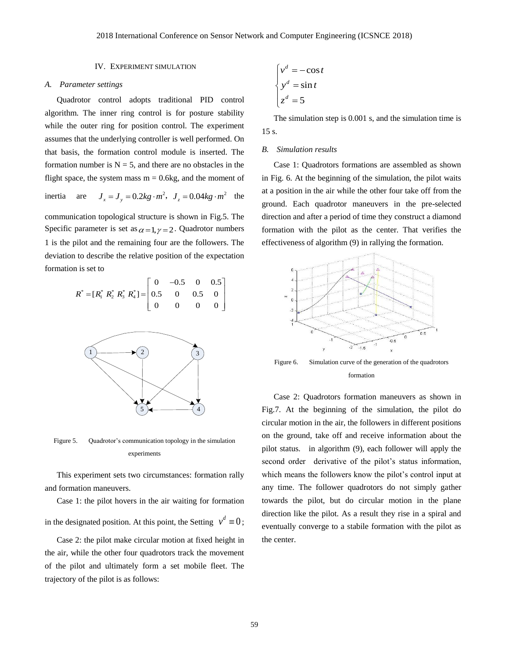### IV. EXPERIMENT SIMULATION

#### *A. Parameter settings*

Quadrotor control adopts traditional PID control algorithm. The inner ring control is for posture stability while the outer ring for position control. The experiment assumes that the underlying controller is well performed. On that basis, the formation control module is inserted. The formation number is  $N = 5$ , and there are no obstacles in the flight space, the system mass  $m = 0.6kg$ , and the moment of

inertia are 
$$
J_x = J_y = 0.2kg \cdot m^2
$$
,  $J_z = 0.04kg \cdot m^2$  the

communication topological structure is shown in Fig.5. The Specific parameter is set as  $\alpha = 1, \gamma = 2$ . Quadrotor numbers 1 is the pilot and the remaining four are the followers. The deviation to describe the relative position of the expectation formation is set to

n is set to  
\n
$$
R^* = [R_1^* R_2^* R_3^* R_4^*] = \begin{bmatrix} 0 & -0.5 & 0 & 0.5 \\ 0.5 & 0 & 0.5 & 0 \\ 0 & 0 & 0 & 0 \end{bmatrix}
$$



Figure 5. Quadrotor's communication topology in the simulation experiments

This experiment sets two circumstances: formation rally and formation maneuvers.

Case 1: the pilot hovers in the air waiting for formation in the designated position. At this point, the Setting  $v^d \equiv 0$ ;

Case 2: the pilot make circular motion at fixed height in the air, while the other four quadrotors track the movement of the pilot and ultimately form a set mobile fleet. The trajectory of the pilot is as follows:

$$
\begin{cases}\nv^d = -\cos t \\
y^d = \sin t \\
z^d = 5\n\end{cases}
$$

The simulation step is 0.001 s, and the simulation time is 15 s.

#### *B. Simulation results*

Case 1: Quadrotors formations are assembled as shown in Fig. 6. At the beginning of the simulation, the pilot waits at a position in the air while the other four take off from the ground. Each quadrotor maneuvers in the pre-selected direction and after a period of time they construct a diamond formation with the pilot as the center. That verifies the effectiveness of algorithm (9) in rallying the formation.



Figure 6. Simulation curve of the generation of the quadrotors formation

Case 2: Quadrotors formation maneuvers as shown in Fig.7. At the beginning of the simulation, the pilot do circular motion in the air, the followers in different positions on the ground, take off and receive information about the pilot status. in algorithm (9), each follower will apply the second order derivative of the pilot's status information, which means the followers know the pilot's control input at any time. The follower quadrotors do not simply gather towards the pilot, but do circular motion in the plane direction like the pilot. As a result they rise in a spiral and eventually converge to a stabile formation with the pilot as the center.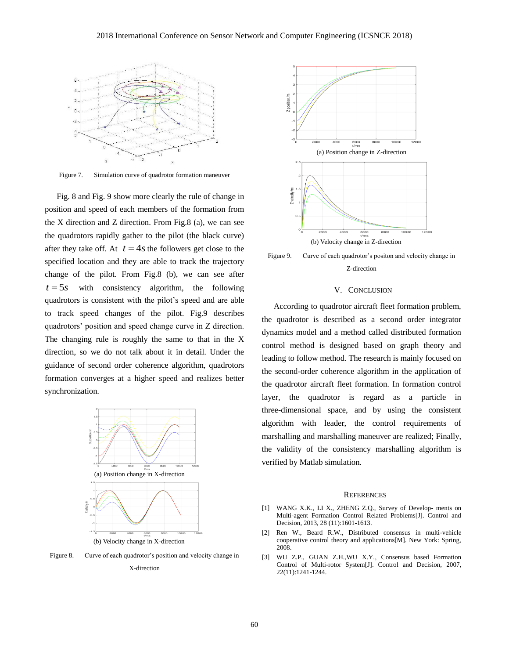

Figure 7. Simulation curve of quadrotor formation maneuver

Fig. 8 and Fig. 9 show more clearly the rule of change in position and speed of each members of the formation from the X direction and Z direction. From Fig.8 (a), we can see the quadrotors rapidly gather to the pilot (the black curve) after they take off. At  $t = 4s$  the followers get close to the specified location and they are able to track the trajectory change of the pilot. From Fig.8 (b), we can see after  $t = 5s$  with consistency algorithm, the following quadrotors is consistent with the pilot's speed and are able to track speed changes of the pilot. Fig.9 describes quadrotors' position and speed change curve in Z direction. The changing rule is roughly the same to that in the X direction, so we do not talk about it in detail. Under the guidance of second order coherence algorithm, quadrotors formation converges at a higher speed and realizes better synchronization.



(b) Velocity change in X-direction

Figure 8. Curve of each quadrotor's position and velocity change in







### V. CONCLUSION

According to quadrotor aircraft fleet formation problem, the quadrotor is described as a second order integrator dynamics model and a method called distributed formation control method is designed based on graph theory and leading to follow method. The research is mainly focused on the second-order coherence algorithm in the application of the quadrotor aircraft fleet formation. In formation control layer, the quadrotor is regard as a particle in three-dimensional space, and by using the consistent algorithm with leader, the control requirements of marshalling and marshalling maneuver are realized; Finally, the validity of the consistency marshalling algorithm is verified by Matlab simulation.

#### **REFERENCES**

- [1] WANG X.K., LI X., ZHENG Z.Q., Survey of Develop- ments on Multi-agent Formation Control Related Problems[J]. Control and Decision, 2013, 28 (11):1601-1613.
- [2] Ren W., Beard R.W., Distributed consensus in multi-vehicle cooperative control theory and applications[M]. New York: Spring, 2008.
- [3] WU Z.P., GUAN Z.H.,WU X.Y., Consensus based Formation Control of Multi-rotor System[J]. Control and Decision, 2007, 22(11):1241-1244.